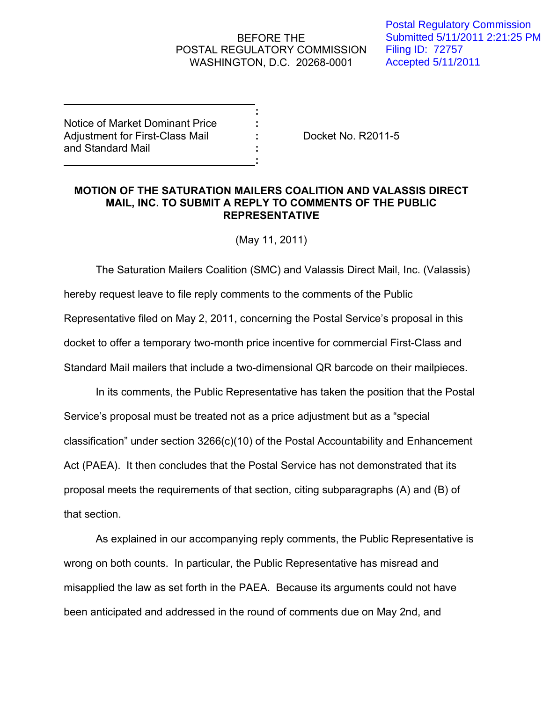## BEFORE THE POSTAL REGULATORY COMMISSION WASHINGTON, D.C. 20268-0001

**:**

**:**

Postal Regulatory Commission Submitted 5/11/2011 2:21:25 PM Filing ID: 72757 Accepted 5/11/2011

Notice of Market Dominant Price **:** Adjustment for First-Class Mail **:** Docket No. R2011-5 and Standard Mail **:**

## **MOTION OF THE SATURATION MAILERS COALITION AND VALASSIS DIRECT MAIL, INC. TO SUBMIT A REPLY TO COMMENTS OF THE PUBLIC REPRESENTATIVE**

(May 11, 2011)

The Saturation Mailers Coalition (SMC) and Valassis Direct Mail, Inc. (Valassis) hereby request leave to file reply comments to the comments of the Public Representative filed on May 2, 2011, concerning the Postal Service's proposal in this docket to offer a temporary two-month price incentive for commercial First-Class and Standard Mail mailers that include a two-dimensional QR barcode on their mailpieces.

In its comments, the Public Representative has taken the position that the Postal Service's proposal must be treated not as a price adjustment but as a "special classification" under section 3266(c)(10) of the Postal Accountability and Enhancement Act (PAEA). It then concludes that the Postal Service has not demonstrated that its proposal meets the requirements of that section, citing subparagraphs (A) and (B) of that section.

As explained in our accompanying reply comments, the Public Representative is wrong on both counts. In particular, the Public Representative has misread and misapplied the law as set forth in the PAEA. Because its arguments could not have been anticipated and addressed in the round of comments due on May 2nd, and